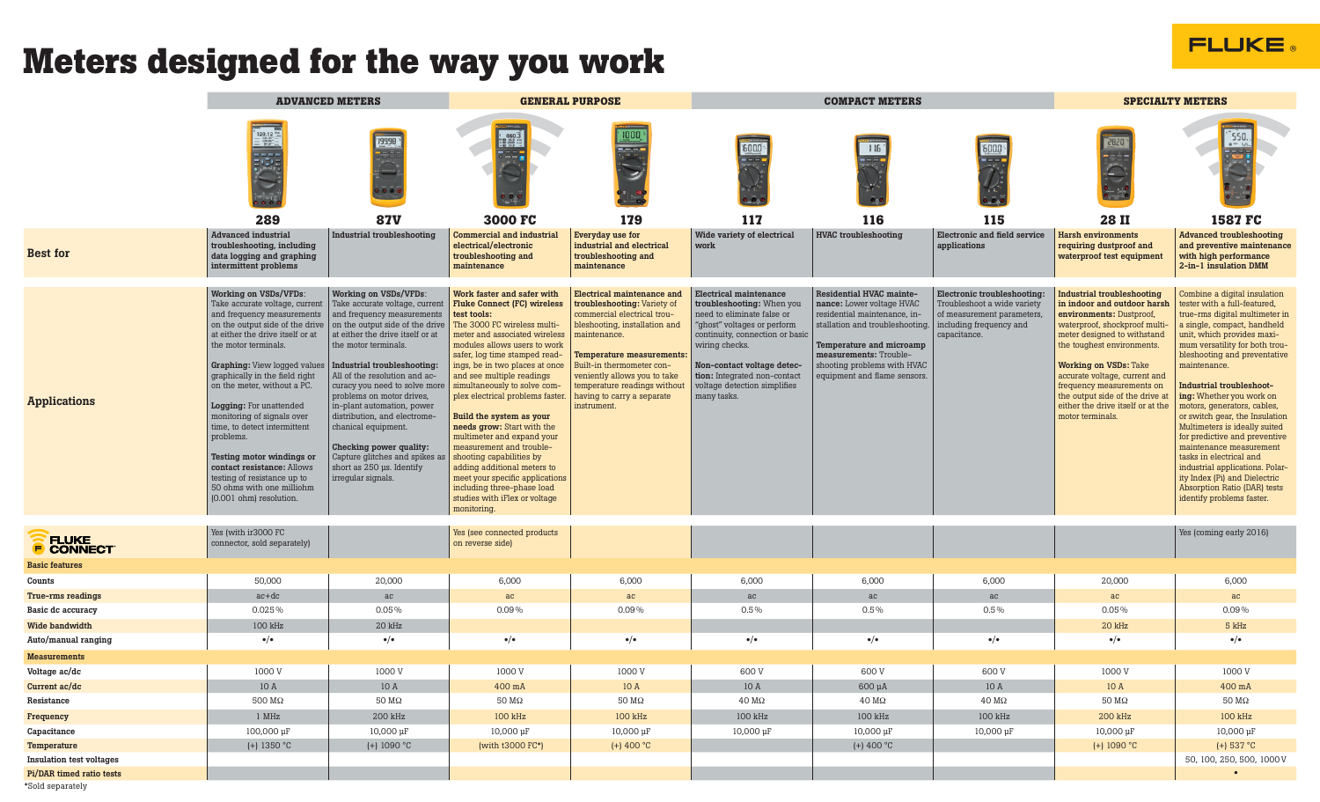## **FLUKE**

## **Meters designed for the way you work**

|                                              | <b>ADVANCED METERS</b>                                                                                                                                                                                                                                                                                                                                                                                                                                                                                                                                      |                                                                                                                                                                                                                                                                                                                                                                                                                                                                                                                                | <b>GENERAL PURPOSE</b>                                                                                                                                                                                                                                                                                                                                                                                                                                                                                                                                                                                                                              |                                                                                                                                                                                                                                                                                                                                | <b>COMPACT METERS</b>                                                                                                                                                                                                                                                                     |                                                                                                                                                                                                                                              |                                                                                                                                     | <b>SPECIALTY METERS</b>                                                                                                                                                                                                                                                                                                                                                              |                                                                                                                                                                                                                                                                                                                                                                                                                                                                                                                                                                                                                                 |
|----------------------------------------------|-------------------------------------------------------------------------------------------------------------------------------------------------------------------------------------------------------------------------------------------------------------------------------------------------------------------------------------------------------------------------------------------------------------------------------------------------------------------------------------------------------------------------------------------------------------|--------------------------------------------------------------------------------------------------------------------------------------------------------------------------------------------------------------------------------------------------------------------------------------------------------------------------------------------------------------------------------------------------------------------------------------------------------------------------------------------------------------------------------|-----------------------------------------------------------------------------------------------------------------------------------------------------------------------------------------------------------------------------------------------------------------------------------------------------------------------------------------------------------------------------------------------------------------------------------------------------------------------------------------------------------------------------------------------------------------------------------------------------------------------------------------------------|--------------------------------------------------------------------------------------------------------------------------------------------------------------------------------------------------------------------------------------------------------------------------------------------------------------------------------|-------------------------------------------------------------------------------------------------------------------------------------------------------------------------------------------------------------------------------------------------------------------------------------------|----------------------------------------------------------------------------------------------------------------------------------------------------------------------------------------------------------------------------------------------|-------------------------------------------------------------------------------------------------------------------------------------|--------------------------------------------------------------------------------------------------------------------------------------------------------------------------------------------------------------------------------------------------------------------------------------------------------------------------------------------------------------------------------------|---------------------------------------------------------------------------------------------------------------------------------------------------------------------------------------------------------------------------------------------------------------------------------------------------------------------------------------------------------------------------------------------------------------------------------------------------------------------------------------------------------------------------------------------------------------------------------------------------------------------------------|
|                                              | 289<br>Advanced industrial<br>troubleshooting, including                                                                                                                                                                                                                                                                                                                                                                                                                                                                                                    | 19998<br><b>87V</b><br><b>Industrial troubleshooting</b>                                                                                                                                                                                                                                                                                                                                                                                                                                                                       | $\begin{array}{cc} 1 & 460.3 \\ - & 460.3 \\ - & 301.75 \\ \end{array}$<br>3000 FC<br><b>Commercial and industrial</b><br>electrical/electronic                                                                                                                                                                                                                                                                                                                                                                                                                                                                                                     | 179<br>Everyday use for<br>industrial and electrical                                                                                                                                                                                                                                                                           | 117<br>Wide variety of electrical<br>work                                                                                                                                                                                                                                                 | 115<br>116<br><b>HVAC</b> troubleshooting                                                                                                                                                                                                    | 115<br><b>Electronic and field service</b><br>applications                                                                          | <b>28II</b><br><b>Harsh environments</b><br>requiring dustproof and                                                                                                                                                                                                                                                                                                                  | <b>1587 FC</b><br><b>Advanced troubleshooting</b><br>and preventive maintenance                                                                                                                                                                                                                                                                                                                                                                                                                                                                                                                                                 |
| <b>Best for</b>                              | data logging and graphing<br>intermittent problems                                                                                                                                                                                                                                                                                                                                                                                                                                                                                                          |                                                                                                                                                                                                                                                                                                                                                                                                                                                                                                                                | troubleshooting and<br>maintenance                                                                                                                                                                                                                                                                                                                                                                                                                                                                                                                                                                                                                  | troubleshooting and<br>maintenance                                                                                                                                                                                                                                                                                             |                                                                                                                                                                                                                                                                                           |                                                                                                                                                                                                                                              |                                                                                                                                     | waterproof test equipment                                                                                                                                                                                                                                                                                                                                                            | with high performance<br>2-in-1 insulation DMM                                                                                                                                                                                                                                                                                                                                                                                                                                                                                                                                                                                  |
| <b>Applications</b>                          | <b>Working on VSDs/VFDs:</b><br>Take accurate voltage, current<br>and frequency measurements<br>on the output side of the drive<br>at either the drive itself or at<br>the motor terminals.<br><b>Graphing:</b> View logged values<br>graphically in the field right<br>on the meter, without a PC.<br>Logging: For unattended<br>monitoring of signals over<br>time, to detect intermittent<br>problems.<br>Testing motor windings or<br>contact resistance: Allows<br>testing of resistance up to<br>50 ohms with one milliohm<br>(0.001 ohm) resolution. | <b>Working on VSDs/VFDs:</b><br>Take accurate voltage, current<br>and frequency measurements<br>on the output side of the drive<br>at either the drive itself or at<br>the motor terminals.<br>Industrial troubleshooting:<br>All of the resolution and ac-<br>curacy you need to solve more<br>problems on motor drives,<br>in-plant automation, power<br>distribution, and electrome-<br>chanical equipment.<br>Checking power quality:<br>Capture glitches and spikes as<br>short as 250 us. Identify<br>irregular signals. | Work faster and safer with<br><b>Fluke Connect (FC) wireless</b><br>test tools:<br>The 3000 FC wireless multi-<br>meter and associated wireless<br>modules allows users to work<br>safer, log time stamped read-<br>ings, be in two places at once<br>and see multiple readings<br>simultaneously to solve com-<br>plex electrical problems faster.<br>Build the system as your<br>needs grow: Start with the<br>multimeter and expand your<br>measurement and trouble-<br>shooting capabilities by<br>adding additional meters to<br>meet your specific applications<br>including three-phase load<br>studies with iFlex or voltage<br>monitoring. | <b>Electrical maintenance and</b><br>troubleshooting: Variety of<br>commercial electrical trou-<br>bleshooting, installation and<br>maintenance.<br><b>Temperature measurements:</b><br>Built-in thermometer con-<br>veniently allows you to take<br>temperature readings without<br>having to carry a separate<br>instrument. | <b>Electrical maintenance</b><br>troubleshooting: When you<br>need to eliminate false or<br>"ghost" voltages or perform<br>continuity, connection or basic<br>wiring checks.<br>Non-contact voltage detec-<br>tion: Integrated non-contact<br>voltage detection simplifies<br>many tasks. | Residential HVAC mainte-<br>nance: Lower voltage HVAC<br>residential maintenance, in-<br>stallation and troubleshooting.<br>Temperature and microamp<br>measurements: Trouble-<br>shooting problems with HVAC<br>equipment and flame sensors | Electronic troubleshooting:<br>Troubleshoot a wide variety<br>of measurement parameters,<br>including frequency and<br>capacitance. | <b>Industrial troubleshooting</b><br>in indoor and outdoor harsh<br>environments: Dustproof,<br>waterproof, shockproof multi-<br>meter designed to withstand<br>the toughest environments.<br><b>Working on VSDs: Take</b><br>accurate voltage, current and<br>frequency measurements on<br>the output side of the drive at<br>either the drive itself or at the<br>motor terminals. | Combine a digital insulation<br>tester with a full-featured,<br>true-rms digital multimeter in<br>a single, compact, handheld<br>unit, which provides maxi-<br>mum versatility for both trou-<br>bleshooting and preventative<br>maintenance.<br>Industrial troubleshoot-<br>ing: Whether you work on<br>motors, generators, cables,<br>or switch gear, the Insulation<br>Multimeters is ideally suited<br>for predictive and preventive<br>maintenance measurement<br>tasks in electrical and<br>industrial applications. Polar-<br>ity Index (Pi) and Dielectric<br>Absorption Ratio (DAR) tests<br>identify problems faster. |
| <b>CONNECT</b>                               | Yes (with ir3000 FC<br>connector, sold separately)                                                                                                                                                                                                                                                                                                                                                                                                                                                                                                          |                                                                                                                                                                                                                                                                                                                                                                                                                                                                                                                                | Yes (see connected products<br>on reverse side)                                                                                                                                                                                                                                                                                                                                                                                                                                                                                                                                                                                                     |                                                                                                                                                                                                                                                                                                                                |                                                                                                                                                                                                                                                                                           |                                                                                                                                                                                                                                              |                                                                                                                                     |                                                                                                                                                                                                                                                                                                                                                                                      | Yes (coming early 2016)                                                                                                                                                                                                                                                                                                                                                                                                                                                                                                                                                                                                         |
| <b>Basic features</b>                        |                                                                                                                                                                                                                                                                                                                                                                                                                                                                                                                                                             |                                                                                                                                                                                                                                                                                                                                                                                                                                                                                                                                |                                                                                                                                                                                                                                                                                                                                                                                                                                                                                                                                                                                                                                                     |                                                                                                                                                                                                                                                                                                                                |                                                                                                                                                                                                                                                                                           |                                                                                                                                                                                                                                              |                                                                                                                                     |                                                                                                                                                                                                                                                                                                                                                                                      |                                                                                                                                                                                                                                                                                                                                                                                                                                                                                                                                                                                                                                 |
| Counts                                       | 50,000                                                                                                                                                                                                                                                                                                                                                                                                                                                                                                                                                      | 20,000                                                                                                                                                                                                                                                                                                                                                                                                                                                                                                                         | 6,000                                                                                                                                                                                                                                                                                                                                                                                                                                                                                                                                                                                                                                               | 6,000                                                                                                                                                                                                                                                                                                                          | 6,000                                                                                                                                                                                                                                                                                     | 6,000                                                                                                                                                                                                                                        | 6,000                                                                                                                               | 20,000                                                                                                                                                                                                                                                                                                                                                                               | 6,000                                                                                                                                                                                                                                                                                                                                                                                                                                                                                                                                                                                                                           |
| True-rms readings                            | $ac+dc$                                                                                                                                                                                                                                                                                                                                                                                                                                                                                                                                                     | ac                                                                                                                                                                                                                                                                                                                                                                                                                                                                                                                             | ac                                                                                                                                                                                                                                                                                                                                                                                                                                                                                                                                                                                                                                                  | ac                                                                                                                                                                                                                                                                                                                             | ac                                                                                                                                                                                                                                                                                        | ac                                                                                                                                                                                                                                           | ac                                                                                                                                  | ac                                                                                                                                                                                                                                                                                                                                                                                   | ac                                                                                                                                                                                                                                                                                                                                                                                                                                                                                                                                                                                                                              |
| Basic dc accuracy                            | 0.025%                                                                                                                                                                                                                                                                                                                                                                                                                                                                                                                                                      | 0.05%                                                                                                                                                                                                                                                                                                                                                                                                                                                                                                                          | 0.09%                                                                                                                                                                                                                                                                                                                                                                                                                                                                                                                                                                                                                                               | $0.09\%$                                                                                                                                                                                                                                                                                                                       | $0.5\%$                                                                                                                                                                                                                                                                                   | $0.5\%$                                                                                                                                                                                                                                      | 0.5%                                                                                                                                | 0.05%                                                                                                                                                                                                                                                                                                                                                                                | $0.09\%$                                                                                                                                                                                                                                                                                                                                                                                                                                                                                                                                                                                                                        |
| <b>Wide bandwidth</b>                        | 100 kHz                                                                                                                                                                                                                                                                                                                                                                                                                                                                                                                                                     | 20 kHz                                                                                                                                                                                                                                                                                                                                                                                                                                                                                                                         |                                                                                                                                                                                                                                                                                                                                                                                                                                                                                                                                                                                                                                                     |                                                                                                                                                                                                                                                                                                                                |                                                                                                                                                                                                                                                                                           |                                                                                                                                                                                                                                              |                                                                                                                                     | 20 kHz                                                                                                                                                                                                                                                                                                                                                                               | 5 kHz                                                                                                                                                                                                                                                                                                                                                                                                                                                                                                                                                                                                                           |
| Auto/manual ranging                          | $\bullet/\bullet$                                                                                                                                                                                                                                                                                                                                                                                                                                                                                                                                           | $\bullet/\bullet$                                                                                                                                                                                                                                                                                                                                                                                                                                                                                                              | $\bullet/\bullet$                                                                                                                                                                                                                                                                                                                                                                                                                                                                                                                                                                                                                                   | $\bullet/\bullet$                                                                                                                                                                                                                                                                                                              | $\bullet/\bullet$                                                                                                                                                                                                                                                                         | $\bullet/\bullet$                                                                                                                                                                                                                            | $\bullet/\bullet$                                                                                                                   | $\bullet/\bullet$                                                                                                                                                                                                                                                                                                                                                                    | $\bullet/\bullet$                                                                                                                                                                                                                                                                                                                                                                                                                                                                                                                                                                                                               |
| <b>Measurements</b>                          |                                                                                                                                                                                                                                                                                                                                                                                                                                                                                                                                                             |                                                                                                                                                                                                                                                                                                                                                                                                                                                                                                                                |                                                                                                                                                                                                                                                                                                                                                                                                                                                                                                                                                                                                                                                     |                                                                                                                                                                                                                                                                                                                                |                                                                                                                                                                                                                                                                                           |                                                                                                                                                                                                                                              |                                                                                                                                     |                                                                                                                                                                                                                                                                                                                                                                                      |                                                                                                                                                                                                                                                                                                                                                                                                                                                                                                                                                                                                                                 |
| Voltage ac/dc                                | 1000 V                                                                                                                                                                                                                                                                                                                                                                                                                                                                                                                                                      | 1000 V                                                                                                                                                                                                                                                                                                                                                                                                                                                                                                                         | 1000 V                                                                                                                                                                                                                                                                                                                                                                                                                                                                                                                                                                                                                                              | 1000 V                                                                                                                                                                                                                                                                                                                         | 600 V                                                                                                                                                                                                                                                                                     | 600 V                                                                                                                                                                                                                                        | 600 V                                                                                                                               | 1000 V                                                                                                                                                                                                                                                                                                                                                                               | 1000 V                                                                                                                                                                                                                                                                                                                                                                                                                                                                                                                                                                                                                          |
| Current ac/dc                                | 10A                                                                                                                                                                                                                                                                                                                                                                                                                                                                                                                                                         | 10A                                                                                                                                                                                                                                                                                                                                                                                                                                                                                                                            | 400 mA                                                                                                                                                                                                                                                                                                                                                                                                                                                                                                                                                                                                                                              | 10 A                                                                                                                                                                                                                                                                                                                           | 10 A                                                                                                                                                                                                                                                                                      | $600 \mu A$                                                                                                                                                                                                                                  | 10A                                                                                                                                 | 10A                                                                                                                                                                                                                                                                                                                                                                                  | 400 mA                                                                                                                                                                                                                                                                                                                                                                                                                                                                                                                                                                                                                          |
| Resistance                                   | 500 MΩ                                                                                                                                                                                                                                                                                                                                                                                                                                                                                                                                                      | $50 \text{ M}\Omega$                                                                                                                                                                                                                                                                                                                                                                                                                                                                                                           | $50 \text{ M}\Omega$                                                                                                                                                                                                                                                                                                                                                                                                                                                                                                                                                                                                                                | $50\ \mathrm{M}\Omega$                                                                                                                                                                                                                                                                                                         | $40 \text{ M}\Omega$                                                                                                                                                                                                                                                                      | $40 \text{ M}\Omega$                                                                                                                                                                                                                         | $40\ \mathrm{M}\Omega$                                                                                                              | $50 \text{ M}\Omega$                                                                                                                                                                                                                                                                                                                                                                 | $50\ \mathrm{M}\Omega$                                                                                                                                                                                                                                                                                                                                                                                                                                                                                                                                                                                                          |
| Frequency                                    | $1$ MHz                                                                                                                                                                                                                                                                                                                                                                                                                                                                                                                                                     | 200 kHz                                                                                                                                                                                                                                                                                                                                                                                                                                                                                                                        | 100 kHz                                                                                                                                                                                                                                                                                                                                                                                                                                                                                                                                                                                                                                             | 100 kHz                                                                                                                                                                                                                                                                                                                        | 100 kHz                                                                                                                                                                                                                                                                                   | 100 kHz                                                                                                                                                                                                                                      | 100 kHz                                                                                                                             | 200 kHz                                                                                                                                                                                                                                                                                                                                                                              | 100 kHz                                                                                                                                                                                                                                                                                                                                                                                                                                                                                                                                                                                                                         |
| Capacitance                                  | 100,000 µF                                                                                                                                                                                                                                                                                                                                                                                                                                                                                                                                                  | 10,000 µF                                                                                                                                                                                                                                                                                                                                                                                                                                                                                                                      | 10,000 µF                                                                                                                                                                                                                                                                                                                                                                                                                                                                                                                                                                                                                                           | $10,000 \,\mu F$                                                                                                                                                                                                                                                                                                               | 10,000 µF                                                                                                                                                                                                                                                                                 | 10,000 µF                                                                                                                                                                                                                                    | 10,000 µF                                                                                                                           | 10,000 µF                                                                                                                                                                                                                                                                                                                                                                            | $10,000 \,\mu F$                                                                                                                                                                                                                                                                                                                                                                                                                                                                                                                                                                                                                |
| Temperature                                  | $(+)$ 1350 °C                                                                                                                                                                                                                                                                                                                                                                                                                                                                                                                                               | $(+)$ 1090 °C                                                                                                                                                                                                                                                                                                                                                                                                                                                                                                                  | (with t3000 FC*)                                                                                                                                                                                                                                                                                                                                                                                                                                                                                                                                                                                                                                    | $(+)$ 400 °C                                                                                                                                                                                                                                                                                                                   |                                                                                                                                                                                                                                                                                           | (+) 400 $^{\circ}$ C                                                                                                                                                                                                                         |                                                                                                                                     | (+) $1090 °C$                                                                                                                                                                                                                                                                                                                                                                        | $(+)$ 537 °C                                                                                                                                                                                                                                                                                                                                                                                                                                                                                                                                                                                                                    |
| Insulation test voltages                     |                                                                                                                                                                                                                                                                                                                                                                                                                                                                                                                                                             |                                                                                                                                                                                                                                                                                                                                                                                                                                                                                                                                |                                                                                                                                                                                                                                                                                                                                                                                                                                                                                                                                                                                                                                                     |                                                                                                                                                                                                                                                                                                                                |                                                                                                                                                                                                                                                                                           |                                                                                                                                                                                                                                              |                                                                                                                                     |                                                                                                                                                                                                                                                                                                                                                                                      | 50, 100, 250, 500, 1000V                                                                                                                                                                                                                                                                                                                                                                                                                                                                                                                                                                                                        |
| Pi/DAR timed ratio tests<br>*Sold separately |                                                                                                                                                                                                                                                                                                                                                                                                                                                                                                                                                             |                                                                                                                                                                                                                                                                                                                                                                                                                                                                                                                                |                                                                                                                                                                                                                                                                                                                                                                                                                                                                                                                                                                                                                                                     |                                                                                                                                                                                                                                                                                                                                |                                                                                                                                                                                                                                                                                           |                                                                                                                                                                                                                                              |                                                                                                                                     |                                                                                                                                                                                                                                                                                                                                                                                      | $\bullet$                                                                                                                                                                                                                                                                                                                                                                                                                                                                                                                                                                                                                       |